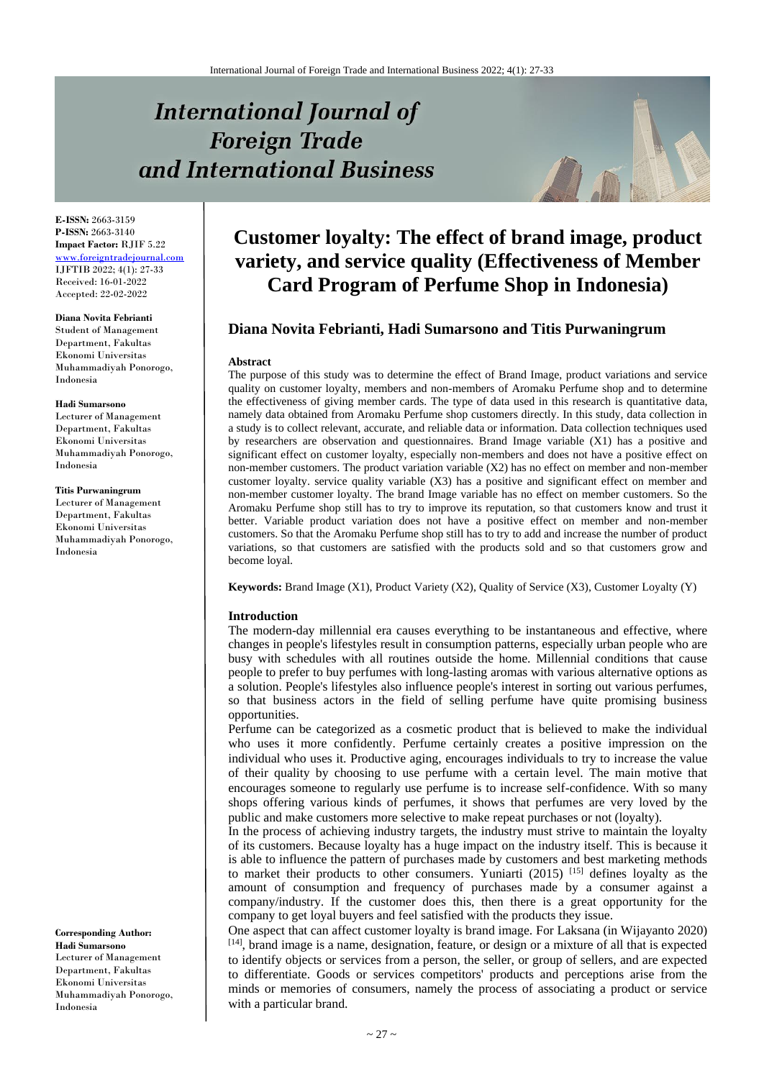# **International Journal of Foreign Trade** and International Business



**E-ISSN:** 2663-3159 **P-ISSN:** 2663-3140 **Impact Factor:** RJIF 5.22 [www.foreigntradejournal.com](http://www.foreigntradejournal.com/) IJFTIB 2022; 4(1): 27-33 Received: 16-01-2022 Accepted: 22-02-2022

**Diana Novita Febrianti** Student of Management Department, Fakultas Ekonomi Universitas Muhammadiyah Ponorogo, Indonesia

#### **Hadi Sumarsono**

Lecturer of Management Department, Fakultas Ekonomi Universitas Muhammadiyah Ponorogo, Indonesia

**Titis Purwaningrum** Lecturer of Management Department, Fakultas Ekonomi Universitas Muhammadiyah Ponorogo, Indonesia

**Corresponding Author: Hadi Sumarsono** Lecturer of Management Department, Fakultas Ekonomi Universitas Muhammadiyah Ponorogo, Indonesia

## **Customer loyalty: The effect of brand image, product variety, and service quality (Effectiveness of Member Card Program of Perfume Shop in Indonesia)**

## **Diana Novita Febrianti, Hadi Sumarsono and Titis Purwaningrum**

#### **Abstract**

The purpose of this study was to determine the effect of Brand Image, product variations and service quality on customer loyalty, members and non-members of Aromaku Perfume shop and to determine the effectiveness of giving member cards. The type of data used in this research is quantitative data, namely data obtained from Aromaku Perfume shop customers directly. In this study, data collection in a study is to collect relevant, accurate, and reliable data or information. Data collection techniques used by researchers are observation and questionnaires. Brand Image variable (X1) has a positive and significant effect on customer loyalty, especially non-members and does not have a positive effect on non-member customers. The product variation variable (X2) has no effect on member and non-member customer loyalty. service quality variable (X3) has a positive and significant effect on member and non-member customer loyalty. The brand Image variable has no effect on member customers. So the Aromaku Perfume shop still has to try to improve its reputation, so that customers know and trust it better. Variable product variation does not have a positive effect on member and non-member customers. So that the Aromaku Perfume shop still has to try to add and increase the number of product variations, so that customers are satisfied with the products sold and so that customers grow and become loyal.

**Keywords:** Brand Image (X1), Product Variety (X2), Quality of Service (X3), Customer Loyalty (Y)

#### **Introduction**

The modern-day millennial era causes everything to be instantaneous and effective, where changes in people's lifestyles result in consumption patterns, especially urban people who are busy with schedules with all routines outside the home. Millennial conditions that cause people to prefer to buy perfumes with long-lasting aromas with various alternative options as a solution. People's lifestyles also influence people's interest in sorting out various perfumes, so that business actors in the field of selling perfume have quite promising business opportunities.

Perfume can be categorized as a cosmetic product that is believed to make the individual who uses it more confidently. Perfume certainly creates a positive impression on the individual who uses it. Productive aging, encourages individuals to try to increase the value of their quality by choosing to use perfume with a certain level. The main motive that encourages someone to regularly use perfume is to increase self-confidence. With so many shops offering various kinds of perfumes, it shows that perfumes are very loved by the public and make customers more selective to make repeat purchases or not (loyalty).

In the process of achieving industry targets, the industry must strive to maintain the loyalty of its customers. Because loyalty has a huge impact on the industry itself. This is because it is able to influence the pattern of purchases made by customers and best marketing methods to market their products to other consumers. Yuniarti (2015) [15] defines loyalty as the amount of consumption and frequency of purchases made by a consumer against a company/industry. If the customer does this, then there is a great opportunity for the company to get loyal buyers and feel satisfied with the products they issue.

One aspect that can affect customer loyalty is brand image. For Laksana (in Wijayanto 2020) [14], brand image is a name, designation, feature, or design or a mixture of all that is expected to identify objects or services from a person, the seller, or group of sellers, and are expected to differentiate. Goods or services competitors' products and perceptions arise from the minds or memories of consumers, namely the process of associating a product or service with a particular brand.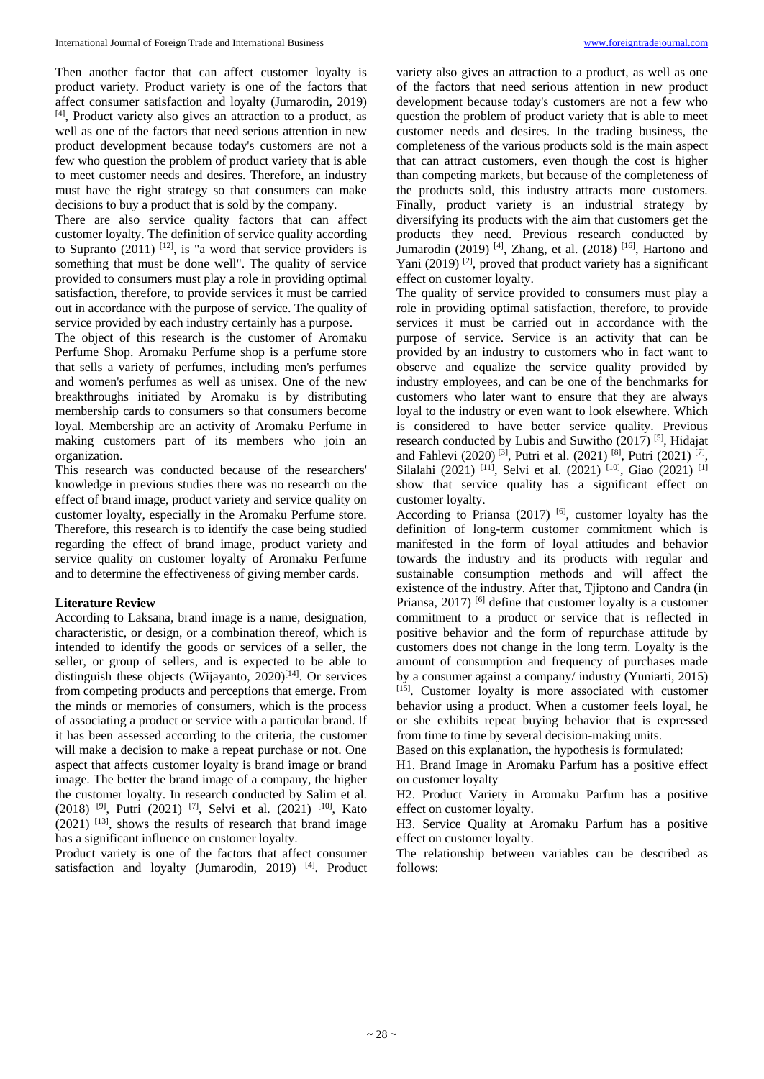Then another factor that can affect customer loyalty is product variety. Product variety is one of the factors that affect consumer satisfaction and loyalty (Jumarodin, 2019) [4] , Product variety also gives an attraction to a product, as well as one of the factors that need serious attention in new product development because today's customers are not a few who question the problem of product variety that is able to meet customer needs and desires. Therefore, an industry must have the right strategy so that consumers can make decisions to buy a product that is sold by the company.

There are also service quality factors that can affect customer loyalty. The definition of service quality according to Supranto  $(2011)$  <sup>[12]</sup>, is "a word that service providers is something that must be done well". The quality of service provided to consumers must play a role in providing optimal satisfaction, therefore, to provide services it must be carried out in accordance with the purpose of service. The quality of service provided by each industry certainly has a purpose.

The object of this research is the customer of Aromaku Perfume Shop. Aromaku Perfume shop is a perfume store that sells a variety of perfumes, including men's perfumes and women's perfumes as well as unisex. One of the new breakthroughs initiated by Aromaku is by distributing membership cards to consumers so that consumers become loyal. Membership are an activity of Aromaku Perfume in making customers part of its members who join an organization.

This research was conducted because of the researchers' knowledge in previous studies there was no research on the effect of brand image, product variety and service quality on customer loyalty, especially in the Aromaku Perfume store. Therefore, this research is to identify the case being studied regarding the effect of brand image, product variety and service quality on customer loyalty of Aromaku Perfume and to determine the effectiveness of giving member cards.

#### **Literature Review**

According to Laksana, brand image is a name, designation, characteristic, or design, or a combination thereof, which is intended to identify the goods or services of a seller, the seller, or group of sellers, and is expected to be able to distinguish these objects (Wijayanto,  $2020$ <sup>[14]</sup>. Or services from competing products and perceptions that emerge. From the minds or memories of consumers, which is the process of associating a product or service with a particular brand. If it has been assessed according to the criteria, the customer will make a decision to make a repeat purchase or not. One aspect that affects customer loyalty is brand image or brand image. The better the brand image of a company, the higher the customer loyalty. In research conducted by Salim et al. (2018) [9] , Putri (2021) [7] , Selvi et al. (2021) [10] , Kato  $(2021)$  <sup>[13]</sup>, shows the results of research that brand image has a significant influence on customer loyalty.

Product variety is one of the factors that affect consumer satisfaction and loyalty (Jumarodin, 2019)<sup>[4]</sup>. Product

variety also gives an attraction to a product, as well as one of the factors that need serious attention in new product development because today's customers are not a few who question the problem of product variety that is able to meet customer needs and desires. In the trading business, the completeness of the various products sold is the main aspect that can attract customers, even though the cost is higher than competing markets, but because of the completeness of the products sold, this industry attracts more customers. Finally, product variety is an industrial strategy by diversifying its products with the aim that customers get the products they need. Previous research conducted by Jumarodin (2019)<sup>[4]</sup>, Zhang, et al. (2018)<sup>[16]</sup>, Hartono and Yani (2019)<sup>[2]</sup>, proved that product variety has a significant effect on customer loyalty.

The quality of service provided to consumers must play a role in providing optimal satisfaction, therefore, to provide services it must be carried out in accordance with the purpose of service. Service is an activity that can be provided by an industry to customers who in fact want to observe and equalize the service quality provided by industry employees, and can be one of the benchmarks for customers who later want to ensure that they are always loyal to the industry or even want to look elsewhere. Which is considered to have better service quality. Previous research conducted by Lubis and Suwitho (2017)<sup>[5]</sup>, Hidajat and Fahlevi (2020)<sup>[3]</sup>, Putri et al. (2021)<sup>[8]</sup>, Putri (2021)<sup>[7]</sup>, Silalahi (2021)<sup>[11]</sup>, Selvi et al. (2021)<sup>[10]</sup>, Giao (2021)<sup>[1]</sup> show that service quality has a significant effect on customer loyalty.

According to Priansa  $(2017)$  [6], customer loyalty has the definition of long-term customer commitment which is manifested in the form of loyal attitudes and behavior towards the industry and its products with regular and sustainable consumption methods and will affect the existence of the industry. After that, Tjiptono and Candra (in Priansa, 2017)<sup>[6]</sup> define that customer loyalty is a customer commitment to a product or service that is reflected in positive behavior and the form of repurchase attitude by customers does not change in the long term. Loyalty is the amount of consumption and frequency of purchases made by a consumer against a company/ industry (Yuniarti, 2015) [15]. Customer loyalty is more associated with customer behavior using a product. When a customer feels loyal, he or she exhibits repeat buying behavior that is expressed from time to time by several decision-making units.

Based on this explanation, the hypothesis is formulated:

H1. Brand Image in Aromaku Parfum has a positive effect on customer loyalty

H2. Product Variety in Aromaku Parfum has a positive effect on customer loyalty.

H3. Service Quality at Aromaku Parfum has a positive effect on customer loyalty.

The relationship between variables can be described as follows: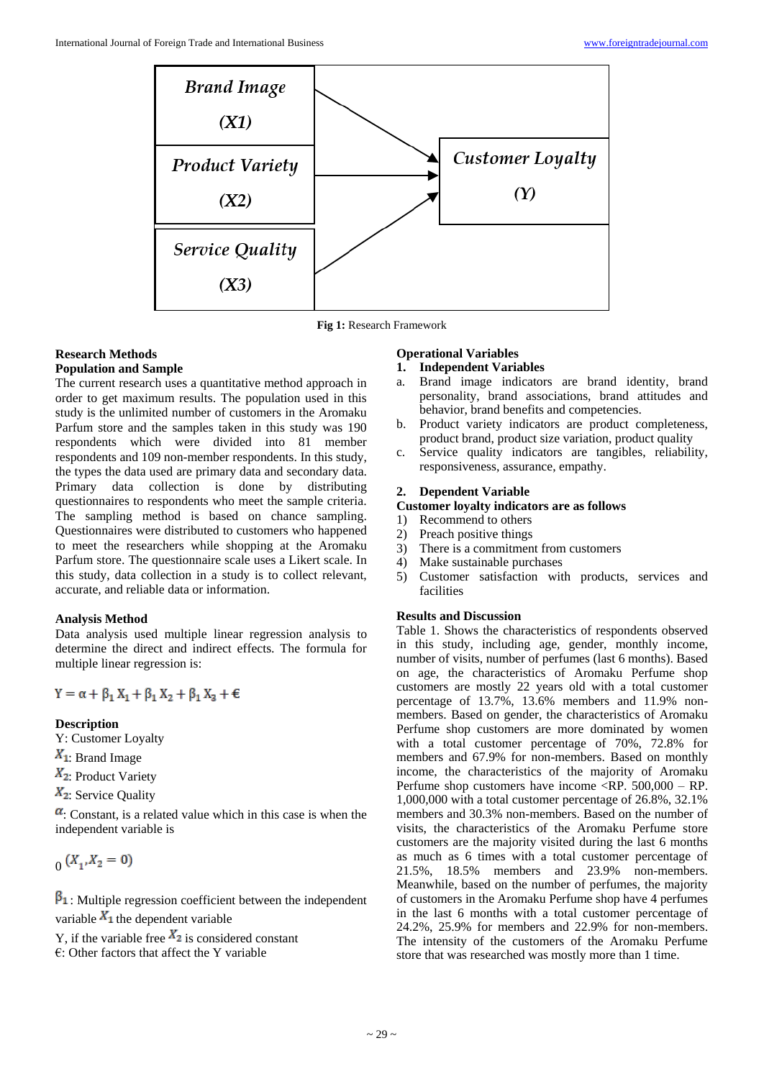

**Fig 1:** Research Framework

## **Research Methods Population and Sample**

The current research uses a quantitative method approach in order to get maximum results. The population used in this study is the unlimited number of customers in the Aromaku Parfum store and the samples taken in this study was 190 respondents which were divided into 81 member respondents and 109 non-member respondents. In this study, the types the data used are primary data and secondary data. Primary data collection is done by distributing questionnaires to respondents who meet the sample criteria. The sampling method is based on chance sampling. Questionnaires were distributed to customers who happened to meet the researchers while shopping at the Aromaku Parfum store. The questionnaire scale uses a Likert scale. In this study, data collection in a study is to collect relevant, accurate, and reliable data or information.

#### **Analysis Method**

Data analysis used multiple linear regression analysis to determine the direct and indirect effects. The formula for multiple linear regression is:

$$
Y = \alpha + \beta_1 X_1 + \beta_1 X_2 + \beta_1 X_3 + \varepsilon
$$

#### **Description**

- Y: Customer Loyalty
- $X_1$ : Brand Image
- $X_2$ : Product Variety
- $X_2$ : Service Quality

 $\alpha$ : Constant, is a related value which in this case is when the independent variable is

$$
_{0}\left( X_{1},X_{2}=0\right)
$$

 $\beta_1$ : Multiple regression coefficient between the independent variable  $X_1$  the dependent variable

Y, if the variable free  $X_2$  is considered constant

 $\epsilon$ : Other factors that affect the Y variable

## **Operational Variables**

- **1. Independent Variables**
- a. Brand image indicators are brand identity, brand personality, brand associations, brand attitudes and behavior, brand benefits and competencies.
- b. Product variety indicators are product completeness, product brand, product size variation, product quality
- c. Service quality indicators are tangibles, reliability, responsiveness, assurance, empathy.

#### **2. Dependent Variable**

#### **Customer loyalty indicators are as follows**

- 1) Recommend to others
- 2) Preach positive things
- 3) There is a commitment from customers
- 4) Make sustainable purchases
- 5) Customer satisfaction with products, services and facilities

## **Results and Discussion**

Table 1. Shows the characteristics of respondents observed in this study, including age, gender, monthly income, number of visits, number of perfumes (last 6 months). Based on age, the characteristics of Aromaku Perfume shop customers are mostly 22 years old with a total customer percentage of 13.7%, 13.6% members and 11.9% nonmembers. Based on gender, the characteristics of Aromaku Perfume shop customers are more dominated by women with a total customer percentage of 70%, 72.8% for members and 67.9% for non-members. Based on monthly income, the characteristics of the majority of Aromaku Perfume shop customers have income <RP. 500,000 – RP. 1,000,000 with a total customer percentage of 26.8%, 32.1% members and 30.3% non-members. Based on the number of visits, the characteristics of the Aromaku Perfume store customers are the majority visited during the last 6 months as much as 6 times with a total customer percentage of 21.5%, 18.5% members and 23.9% non-members. Meanwhile, based on the number of perfumes, the majority of customers in the Aromaku Perfume shop have 4 perfumes in the last 6 months with a total customer percentage of 24.2%, 25.9% for members and 22.9% for non-members. The intensity of the customers of the Aromaku Perfume store that was researched was mostly more than 1 time.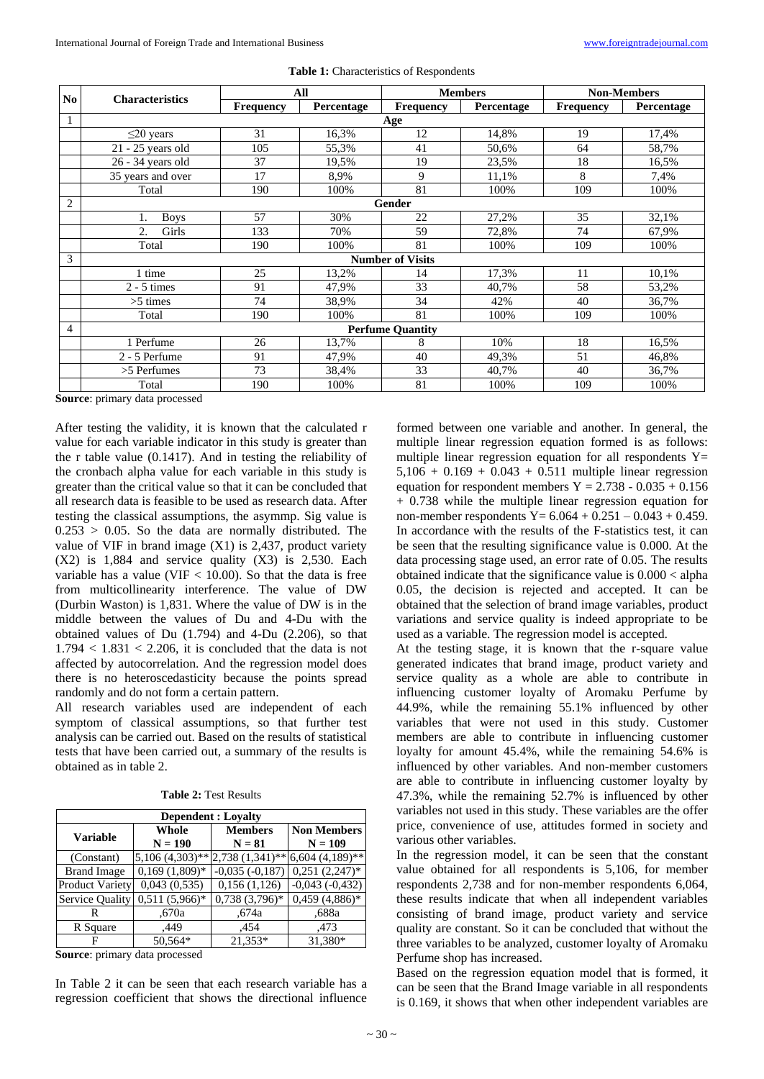| N <sub>o</sub> | <b>Characteristics</b>  | All                     |            | <b>Members</b>   |            | <b>Non-Members</b> |            |  |
|----------------|-------------------------|-------------------------|------------|------------------|------------|--------------------|------------|--|
|                |                         | <b>Frequency</b>        | Percentage | <b>Frequency</b> | Percentage | Frequency          | Percentage |  |
|                | Age                     |                         |            |                  |            |                    |            |  |
|                | $\leq$ 20 years         | 31                      | 16,3%      | 12               | 14,8%      | 19                 | 17,4%      |  |
|                | 21 - 25 years old       | 105                     | 55,3%      | 41               | 50,6%      | 64                 | 58,7%      |  |
|                | 26 - 34 years old       | 37                      | 19,5%      | 19               | 23,5%      | 18                 | 16.5%      |  |
|                | 35 years and over       | 17                      | 8,9%       | 9                | 11,1%      | 8                  | 7,4%       |  |
|                | Total                   | 190                     | 100%       | 81               | 100%       | 109                | 100%       |  |
| $\overline{2}$ |                         | Gender                  |            |                  |            |                    |            |  |
|                | <b>Boys</b>             | 57                      | 30%        | 22               | 27,2%      | 35                 | 32,1%      |  |
|                | 2.<br>Girls             | 133                     | 70%        | 59               | 72,8%      | 74                 | 67,9%      |  |
|                | Total                   | 190                     | 100%       | 81               | 100%       | 109                | 100%       |  |
| 3              |                         | <b>Number of Visits</b> |            |                  |            |                    |            |  |
|                | 1 time                  | 25                      | 13,2%      | 14               | 17,3%      | 11                 | 10,1%      |  |
|                | $2 - 5$ times           | 91                      | 47,9%      | 33               | 40,7%      | 58                 | 53,2%      |  |
|                | $>5$ times              | 74                      | 38,9%      | 34               | 42%        | 40                 | 36,7%      |  |
|                | Total                   | 190                     | 100%       | 81               | 100%       | 109                | 100%       |  |
| 4              | <b>Perfume Quantity</b> |                         |            |                  |            |                    |            |  |
|                | 1 Perfume               | 26                      | 13,7%      | 8                | 10%        | 18                 | 16,5%      |  |
|                | 2 - 5 Perfume           | 91                      | 47,9%      | 40               | 49,3%      | 51                 | 46,8%      |  |
|                | >5 Perfumes             | 73                      | 38,4%      | 33               | 40,7%      | 40                 | 36,7%      |  |
|                | Total                   | 190                     | 100%       | 81               | 100%       | 109                | 100%       |  |

**Table 1:** Characteristics of Respondents

**Source**: primary data processed

After testing the validity, it is known that the calculated r value for each variable indicator in this study is greater than the r table value (0.1417). And in testing the reliability of the cronbach alpha value for each variable in this study is greater than the critical value so that it can be concluded that all research data is feasible to be used as research data. After testing the classical assumptions, the asymmp. Sig value is  $0.253 > 0.05$ . So the data are normally distributed. The value of VIF in brand image (X1) is 2,437, product variety  $(X2)$  is 1,884 and service quality  $(X3)$  is 2,530. Each variable has a value (VIF  $<$  10.00). So that the data is free from multicollinearity interference. The value of DW (Durbin Waston) is 1,831. Where the value of DW is in the middle between the values of Du and 4-Du with the obtained values of Du (1.794) and 4-Du (2.206), so that  $1.794 < 1.831 < 2.206$ , it is concluded that the data is not affected by autocorrelation. And the regression model does there is no heteroscedasticity because the points spread randomly and do not form a certain pattern.

All research variables used are independent of each symptom of classical assumptions, so that further test analysis can be carried out. Based on the results of statistical tests that have been carried out, a summary of the results is obtained as in table 2.

| <b>Dependent : Loyalty</b> |                 |                                   |                      |  |  |  |  |  |
|----------------------------|-----------------|-----------------------------------|----------------------|--|--|--|--|--|
| <b>Variable</b>            | <b>Whole</b>    | <b>Members</b>                    | <b>Non Members</b>   |  |  |  |  |  |
|                            | $N = 190$       | $N = 81$                          | $N = 109$            |  |  |  |  |  |
| (Constant)                 |                 | $5,106$ (4,303)** 2,738 (1,341)** | $6,604$ $(4,189)$ ** |  |  |  |  |  |
| <b>Brand Image</b>         | $0,169(1,809)*$ | $-0,035(-0,187)$                  | $0,251(2,247)^*$     |  |  |  |  |  |
| <b>Product Variety</b>     | 0,043(0,535)    | 0,156(1,126)                      | $-0.043(-0.432)$     |  |  |  |  |  |
| Service Quality            | $0.511(5.966)*$ | $0,738(3,796)*$                   | $0,459(4,886)*$      |  |  |  |  |  |
| R                          | .670a           | .674a                             | .688a                |  |  |  |  |  |
| R Square                   | .449            | .454                              | ,473                 |  |  |  |  |  |
| 50.564*                    |                 | 21.353*                           | 31,380*              |  |  |  |  |  |

**Table 2:** Test Results

**Source**: primary data processed

In Table 2 it can be seen that each research variable has a regression coefficient that shows the directional influence formed between one variable and another. In general, the multiple linear regression equation formed is as follows: multiple linear regression equation for all respondents  $Y=$  $5,106 + 0.169 + 0.043 + 0.511$  multiple linear regression equation for respondent members  $Y = 2.738 - 0.035 + 0.156$ + 0.738 while the multiple linear regression equation for non-member respondents  $Y = 6.064 + 0.251 - 0.043 + 0.459$ . In accordance with the results of the F-statistics test, it can be seen that the resulting significance value is 0.000. At the data processing stage used, an error rate of 0.05. The results obtained indicate that the significance value is 0.000 < alpha 0.05, the decision is rejected and accepted. It can be obtained that the selection of brand image variables, product variations and service quality is indeed appropriate to be used as a variable. The regression model is accepted.

At the testing stage, it is known that the r-square value generated indicates that brand image, product variety and service quality as a whole are able to contribute in influencing customer loyalty of Aromaku Perfume by 44.9%, while the remaining 55.1% influenced by other variables that were not used in this study. Customer members are able to contribute in influencing customer loyalty for amount 45.4%, while the remaining 54.6% is influenced by other variables. And non-member customers are able to contribute in influencing customer loyalty by 47.3%, while the remaining 52.7% is influenced by other variables not used in this study. These variables are the offer price, convenience of use, attitudes formed in society and various other variables.

In the regression model, it can be seen that the constant value obtained for all respondents is 5,106, for member respondents 2,738 and for non-member respondents 6,064, these results indicate that when all independent variables consisting of brand image, product variety and service quality are constant. So it can be concluded that without the three variables to be analyzed, customer loyalty of Aromaku Perfume shop has increased.

Based on the regression equation model that is formed, it can be seen that the Brand Image variable in all respondents is 0.169, it shows that when other independent variables are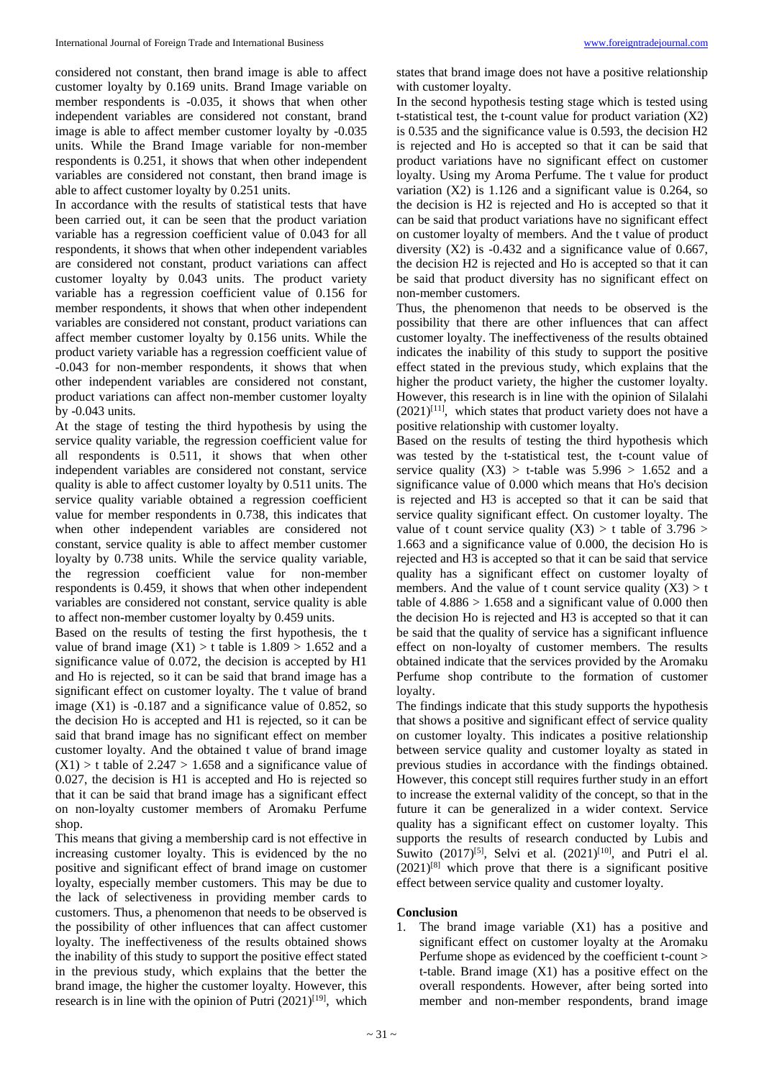considered not constant, then brand image is able to affect customer loyalty by 0.169 units. Brand Image variable on member respondents is -0.035, it shows that when other independent variables are considered not constant, brand image is able to affect member customer loyalty by -0.035 units. While the Brand Image variable for non-member respondents is 0.251, it shows that when other independent variables are considered not constant, then brand image is able to affect customer loyalty by 0.251 units.

In accordance with the results of statistical tests that have been carried out, it can be seen that the product variation variable has a regression coefficient value of 0.043 for all respondents, it shows that when other independent variables are considered not constant, product variations can affect customer loyalty by 0.043 units. The product variety variable has a regression coefficient value of 0.156 for member respondents, it shows that when other independent variables are considered not constant, product variations can affect member customer loyalty by 0.156 units. While the product variety variable has a regression coefficient value of -0.043 for non-member respondents, it shows that when other independent variables are considered not constant, product variations can affect non-member customer loyalty by -0.043 units.

At the stage of testing the third hypothesis by using the service quality variable, the regression coefficient value for all respondents is 0.511, it shows that when other independent variables are considered not constant, service quality is able to affect customer loyalty by 0.511 units. The service quality variable obtained a regression coefficient value for member respondents in 0.738, this indicates that when other independent variables are considered not constant, service quality is able to affect member customer loyalty by 0.738 units. While the service quality variable, the regression coefficient value for non-member respondents is 0.459, it shows that when other independent variables are considered not constant, service quality is able to affect non-member customer loyalty by 0.459 units.

Based on the results of testing the first hypothesis, the t value of brand image  $(X1) > t$  table is 1.809 > 1.652 and a significance value of 0.072, the decision is accepted by H1 and Ho is rejected, so it can be said that brand image has a significant effect on customer loyalty. The t value of brand image (X1) is -0.187 and a significance value of 0.852, so the decision Ho is accepted and H1 is rejected, so it can be said that brand image has no significant effect on member customer loyalty. And the obtained t value of brand image  $(X1)$  > t table of 2.247 > 1.658 and a significance value of 0.027, the decision is H1 is accepted and Ho is rejected so that it can be said that brand image has a significant effect on non-loyalty customer members of Aromaku Perfume shop.

This means that giving a membership card is not effective in increasing customer loyalty. This is evidenced by the no positive and significant effect of brand image on customer loyalty, especially member customers. This may be due to the lack of selectiveness in providing member cards to customers. Thus, a phenomenon that needs to be observed is the possibility of other influences that can affect customer loyalty. The ineffectiveness of the results obtained shows the inability of this study to support the positive effect stated in the previous study, which explains that the better the brand image, the higher the customer loyalty. However, this research is in line with the opinion of Putri  $(2021)^{[19]}$ , which states that brand image does not have a positive relationship with customer loyalty.

In the second hypothesis testing stage which is tested using t-statistical test, the t-count value for product variation (X2) is 0.535 and the significance value is 0.593, the decision H2 is rejected and Ho is accepted so that it can be said that product variations have no significant effect on customer loyalty. Using my Aroma Perfume. The t value for product variation (X2) is 1.126 and a significant value is 0.264, so the decision is H2 is rejected and Ho is accepted so that it can be said that product variations have no significant effect on customer loyalty of members. And the t value of product diversity  $(X2)$  is -0.432 and a significance value of 0.667, the decision H2 is rejected and Ho is accepted so that it can be said that product diversity has no significant effect on non-member customers.

Thus, the phenomenon that needs to be observed is the possibility that there are other influences that can affect customer loyalty. The ineffectiveness of the results obtained indicates the inability of this study to support the positive effect stated in the previous study, which explains that the higher the product variety, the higher the customer loyalty. However, this research is in line with the opinion of Silalahi  $(2021)^{[11]}$ , which states that product variety does not have a positive relationship with customer loyalty.

Based on the results of testing the third hypothesis which was tested by the t-statistical test, the t-count value of service quality  $(X3) > t$ -table was  $5.996 > 1.652$  and a significance value of 0.000 which means that Ho's decision is rejected and H3 is accepted so that it can be said that service quality significant effect. On customer loyalty. The value of t count service quality  $(X3) > t$  table of 3.796 > 1.663 and a significance value of 0.000, the decision Ho is rejected and H3 is accepted so that it can be said that service quality has a significant effect on customer loyalty of members. And the value of t count service quality  $(X3) > t$ table of  $4.886 > 1.658$  and a significant value of 0.000 then the decision Ho is rejected and H3 is accepted so that it can be said that the quality of service has a significant influence effect on non-loyalty of customer members. The results obtained indicate that the services provided by the Aromaku Perfume shop contribute to the formation of customer loyalty.

The findings indicate that this study supports the hypothesis that shows a positive and significant effect of service quality on customer loyalty. This indicates a positive relationship between service quality and customer loyalty as stated in previous studies in accordance with the findings obtained. However, this concept still requires further study in an effort to increase the external validity of the concept, so that in the future it can be generalized in a wider context. Service quality has a significant effect on customer loyalty. This supports the results of research conducted by Lubis and Suwito  $(2017)^{5}$ , Selvi et al.  $(2021)^{[10]}$ , and Putri el al.  $(2021)^{[8]}$  which prove that there is a significant positive effect between service quality and customer loyalty.

#### **Conclusion**

1. The brand image variable (X1) has a positive and significant effect on customer loyalty at the Aromaku Perfume shope as evidenced by the coefficient t-count > t-table. Brand image (X1) has a positive effect on the overall respondents. However, after being sorted into member and non-member respondents, brand image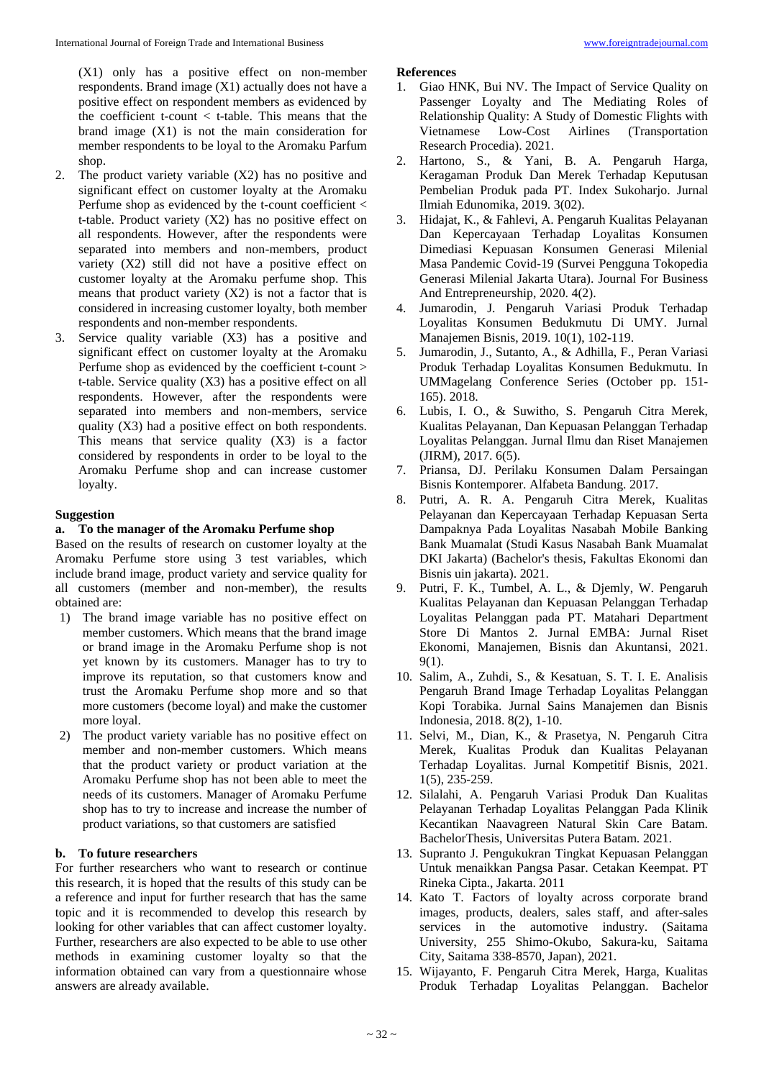(X1) only has a positive effect on non-member respondents. Brand image (X1) actually does not have a positive effect on respondent members as evidenced by the coefficient t-count < t-table. This means that the brand image (X1) is not the main consideration for member respondents to be loyal to the Aromaku Parfum shop.

- 2. The product variety variable (X2) has no positive and significant effect on customer loyalty at the Aromaku Perfume shop as evidenced by the t-count coefficient < t-table. Product variety (X2) has no positive effect on all respondents. However, after the respondents were separated into members and non-members, product variety (X2) still did not have a positive effect on customer loyalty at the Aromaku perfume shop. This means that product variety  $(X2)$  is not a factor that is considered in increasing customer loyalty, both member respondents and non-member respondents.
- 3. Service quality variable (X3) has a positive and significant effect on customer loyalty at the Aromaku Perfume shop as evidenced by the coefficient t-count > t-table. Service quality (X3) has a positive effect on all respondents. However, after the respondents were separated into members and non-members, service quality (X3) had a positive effect on both respondents. This means that service quality  $(X3)$  is a factor considered by respondents in order to be loyal to the Aromaku Perfume shop and can increase customer loyalty.

#### **Suggestion**

#### **a. To the manager of the Aromaku Perfume shop**

Based on the results of research on customer loyalty at the Aromaku Perfume store using 3 test variables, which include brand image, product variety and service quality for all customers (member and non-member), the results obtained are:

- 1) The brand image variable has no positive effect on member customers. Which means that the brand image or brand image in the Aromaku Perfume shop is not yet known by its customers. Manager has to try to improve its reputation, so that customers know and trust the Aromaku Perfume shop more and so that more customers (become loyal) and make the customer more loyal.
- 2) The product variety variable has no positive effect on member and non-member customers. Which means that the product variety or product variation at the Aromaku Perfume shop has not been able to meet the needs of its customers. Manager of Aromaku Perfume shop has to try to increase and increase the number of product variations, so that customers are satisfied

### **b. To future researchers**

For further researchers who want to research or continue this research, it is hoped that the results of this study can be a reference and input for further research that has the same topic and it is recommended to develop this research by looking for other variables that can affect customer loyalty. Further, researchers are also expected to be able to use other methods in examining customer loyalty so that the information obtained can vary from a questionnaire whose answers are already available.

#### **References**

- 1. Giao HNK, Bui NV. The Impact of Service Quality on Passenger Loyalty and The Mediating Roles of Relationship Quality: A Study of Domestic Flights with Vietnamese Low-Cost Airlines (Transportation Research Procedia). 2021.
- 2. Hartono, S., & Yani, B. A. Pengaruh Harga, Keragaman Produk Dan Merek Terhadap Keputusan Pembelian Produk pada PT. Index Sukoharjo. Jurnal Ilmiah Edunomika, 2019. 3(02).
- 3. Hidajat, K., & Fahlevi, A. Pengaruh Kualitas Pelayanan Dan Kepercayaan Terhadap Loyalitas Konsumen Dimediasi Kepuasan Konsumen Generasi Milenial Masa Pandemic Covid-19 (Survei Pengguna Tokopedia Generasi Milenial Jakarta Utara). Journal For Business And Entrepreneurship, 2020. 4(2).
- 4. Jumarodin, J. Pengaruh Variasi Produk Terhadap Loyalitas Konsumen Bedukmutu Di UMY. Jurnal Manajemen Bisnis, 2019. 10(1), 102-119.
- 5. Jumarodin, J., Sutanto, A., & Adhilla, F., Peran Variasi Produk Terhadap Loyalitas Konsumen Bedukmutu. In UMMagelang Conference Series (October pp. 151- 165). 2018.
- 6. Lubis, I. O., & Suwitho, S. Pengaruh Citra Merek, Kualitas Pelayanan, Dan Kepuasan Pelanggan Terhadap Loyalitas Pelanggan. Jurnal Ilmu dan Riset Manajemen (JIRM), 2017. 6(5).
- 7. Priansa, DJ. Perilaku Konsumen Dalam Persaingan Bisnis Kontemporer. Alfabeta Bandung. 2017.
- 8. Putri, A. R. A. Pengaruh Citra Merek, Kualitas Pelayanan dan Kepercayaan Terhadap Kepuasan Serta Dampaknya Pada Loyalitas Nasabah Mobile Banking Bank Muamalat (Studi Kasus Nasabah Bank Muamalat DKI Jakarta) (Bachelor's thesis, Fakultas Ekonomi dan Bisnis uin jakarta). 2021.
- 9. Putri, F. K., Tumbel, A. L., & Djemly, W. Pengaruh Kualitas Pelayanan dan Kepuasan Pelanggan Terhadap Loyalitas Pelanggan pada PT. Matahari Department Store Di Mantos 2. Jurnal EMBA: Jurnal Riset Ekonomi, Manajemen, Bisnis dan Akuntansi, 2021. 9(1).
- 10. Salim, A., Zuhdi, S., & Kesatuan, S. T. I. E. Analisis Pengaruh Brand Image Terhadap Loyalitas Pelanggan Kopi Torabika. Jurnal Sains Manajemen dan Bisnis Indonesia, 2018. 8(2), 1-10.
- 11. Selvi, M., Dian, K., & Prasetya, N. Pengaruh Citra Merek, Kualitas Produk dan Kualitas Pelayanan Terhadap Loyalitas. Jurnal Kompetitif Bisnis, 2021. 1(5), 235-259.
- 12. Silalahi, A. Pengaruh Variasi Produk Dan Kualitas Pelayanan Terhadap Loyalitas Pelanggan Pada Klinik Kecantikan Naavagreen Natural Skin Care Batam. BachelorThesis, Universitas Putera Batam. 2021.
- 13. Supranto J. Pengukukran Tingkat Kepuasan Pelanggan Untuk menaikkan Pangsa Pasar. Cetakan Keempat. PT Rineka Cipta., Jakarta. 2011
- 14. Kato T. Factors of loyalty across corporate brand images, products, dealers, sales staff, and after-sales services in the automotive industry. (Saitama University, 255 Shimo-Okubo, Sakura-ku, Saitama City, Saitama 338-8570, Japan), 2021.
- 15. Wijayanto, F. Pengaruh Citra Merek, Harga, Kualitas Produk Terhadap Loyalitas Pelanggan. Bachelor